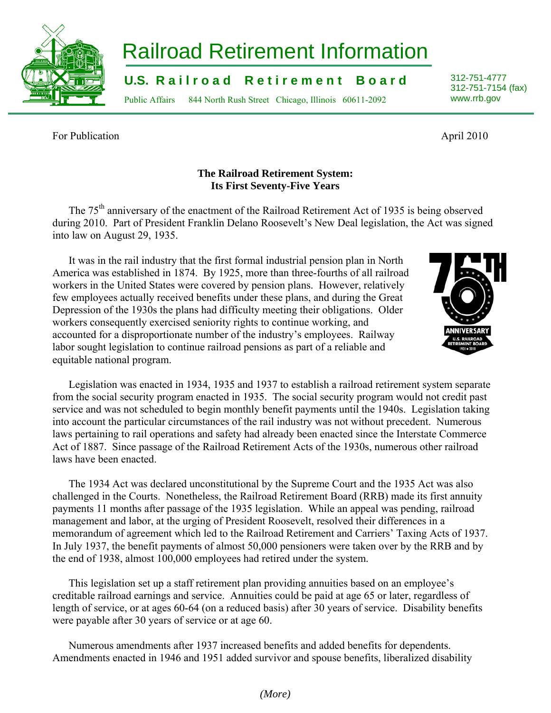## *(More)*

## Railroad Retirement Information

**U.S. Railroad Retirement Board** 312-751-4777

Public Affairs 844 North Rush Street Chicago, Illinois 60611-2092 www.rrb.gov

For Publication April 2010

## **The Railroad Retirement System: Its First Seventy-Five Years**

The 75<sup>th</sup> anniversary of the enactment of the Railroad Retirement Act of 1935 is being observed during 2010. Part of President Franklin Delano Roosevelt's New Deal legislation, the Act was signed into law on August 29, 1935.

It was in the rail industry that the first formal industrial pension plan in North America was established in 1874. By 1925, more than three-fourths of all railroad workers in the United States were covered by pension plans. However, relatively few employees actually received benefits under these plans, and during the Great Depression of the 1930s the plans had difficulty meeting their obligations. Older workers consequently exercised seniority rights to continue working, and accounted for a disproportionate number of the industry's employees. Railway labor sought legislation to continue railroad pensions as part of a reliable and equitable national program.

Legislation was enacted in 1934, 1935 and 1937 to establish a railroad retirement system separate from the social security program enacted in 1935. The social security program would not credit past service and was not scheduled to begin monthly benefit payments until the 1940s. Legislation taking into account the particular circumstances of the rail industry was not without precedent. Numerous laws pertaining to rail operations and safety had already been enacted since the Interstate Commerce Act of 1887. Since passage of the Railroad Retirement Acts of the 1930s, numerous other railroad laws have been enacted.

The 1934 Act was declared unconstitutional by the Supreme Court and the 1935 Act was also challenged in the Courts. Nonetheless, the Railroad Retirement Board (RRB) made its first annuity payments 11 months after passage of the 1935 legislation. While an appeal was pending, railroad management and labor, at the urging of President Roosevelt, resolved their differences in a memorandum of agreement which led to the Railroad Retirement and Carriers' Taxing Acts of 1937. In July 1937, the benefit payments of almost 50,000 pensioners were taken over by the RRB and by the end of 1938, almost 100,000 employees had retired under the system.

This legislation set up a staff retirement plan providing annuities based on an employee's creditable railroad earnings and service. Annuities could be paid at age 65 or later, regardless of length of service, or at ages 60-64 (on a reduced basis) after 30 years of service. Disability benefits were payable after 30 years of service or at age 60.

Numerous amendments after 1937 increased benefits and added benefits for dependents. Amendments enacted in 1946 and 1951 added survivor and spouse benefits, liberalized disability



312-751-7154 (fax)



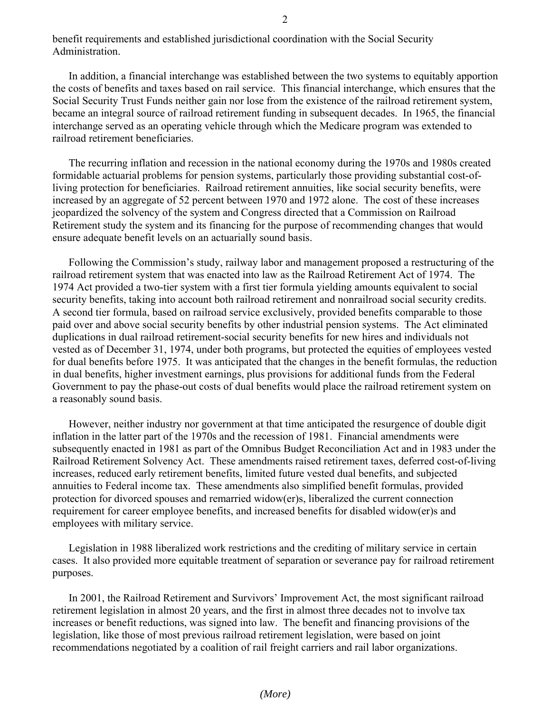benefit requirements and established jurisdictional coordination with the Social Security Administration.

In addition, a financial interchange was established between the two systems to equitably apportion the costs of benefits and taxes based on rail service. This financial interchange, which ensures that the Social Security Trust Funds neither gain nor lose from the existence of the railroad retirement system, became an integral source of railroad retirement funding in subsequent decades. In 1965, the financial interchange served as an operating vehicle through which the Medicare program was extended to railroad retirement beneficiaries.

The recurring inflation and recession in the national economy during the 1970s and 1980s created formidable actuarial problems for pension systems, particularly those providing substantial cost-ofliving protection for beneficiaries. Railroad retirement annuities, like social security benefits, were increased by an aggregate of 52 percent between 1970 and 1972 alone. The cost of these increases jeopardized the solvency of the system and Congress directed that a Commission on Railroad Retirement study the system and its financing for the purpose of recommending changes that would ensure adequate benefit levels on an actuarially sound basis.

Following the Commission's study, railway labor and management proposed a restructuring of the railroad retirement system that was enacted into law as the Railroad Retirement Act of 1974. The 1974 Act provided a two-tier system with a first tier formula yielding amounts equivalent to social security benefits, taking into account both railroad retirement and nonrailroad social security credits. A second tier formula, based on railroad service exclusively, provided benefits comparable to those paid over and above social security benefits by other industrial pension systems. The Act eliminated duplications in dual railroad retirement-social security benefits for new hires and individuals not vested as of December 31, 1974, under both programs, but protected the equities of employees vested for dual benefits before 1975. It was anticipated that the changes in the benefit formulas, the reduction in dual benefits, higher investment earnings, plus provisions for additional funds from the Federal Government to pay the phase-out costs of dual benefits would place the railroad retirement system on a reasonably sound basis.

However, neither industry nor government at that time anticipated the resurgence of double digit inflation in the latter part of the 1970s and the recession of 1981. Financial amendments were subsequently enacted in 1981 as part of the Omnibus Budget Reconciliation Act and in 1983 under the Railroad Retirement Solvency Act. These amendments raised retirement taxes, deferred cost-of-living increases, reduced early retirement benefits, limited future vested dual benefits, and subjected annuities to Federal income tax. These amendments also simplified benefit formulas, provided protection for divorced spouses and remarried widow(er)s, liberalized the current connection requirement for career employee benefits, and increased benefits for disabled widow(er)s and employees with military service.

Legislation in 1988 liberalized work restrictions and the crediting of military service in certain cases. It also provided more equitable treatment of separation or severance pay for railroad retirement purposes.

In 2001, the Railroad Retirement and Survivors' Improvement Act, the most significant railroad retirement legislation in almost 20 years, and the first in almost three decades not to involve tax increases or benefit reductions, was signed into law. The benefit and financing provisions of the legislation, like those of most previous railroad retirement legislation, were based on joint recommendations negotiated by a coalition of rail freight carriers and rail labor organizations.

*(More)*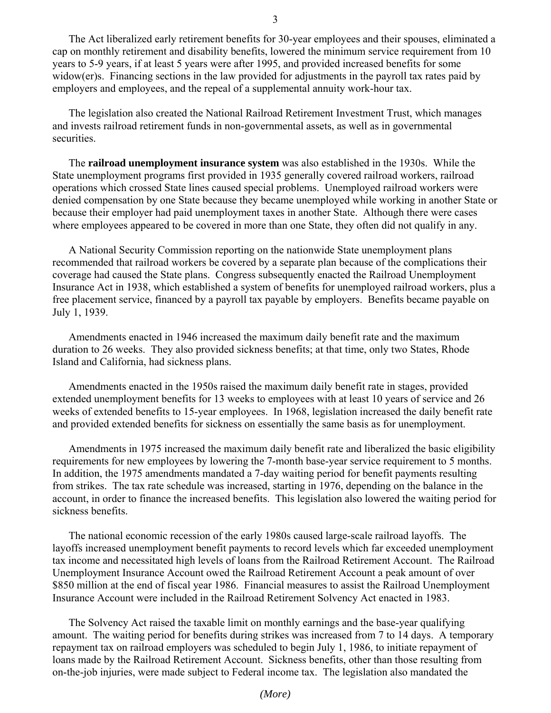The Act liberalized early retirement benefits for 30-year employees and their spouses, eliminated a cap on monthly retirement and disability benefits, lowered the minimum service requirement from 10 years to 5-9 years, if at least 5 years were after 1995, and provided increased benefits for some widow(er)s. Financing sections in the law provided for adjustments in the payroll tax rates paid by employers and employees, and the repeal of a supplemental annuity work-hour tax.

The legislation also created the National Railroad Retirement Investment Trust, which manages and invests railroad retirement funds in non-governmental assets, as well as in governmental securities.

The **railroad unemployment insurance system** was also established in the 1930s. While the State unemployment programs first provided in 1935 generally covered railroad workers, railroad operations which crossed State lines caused special problems. Unemployed railroad workers were denied compensation by one State because they became unemployed while working in another State or because their employer had paid unemployment taxes in another State. Although there were cases where employees appeared to be covered in more than one State, they often did not qualify in any.

A National Security Commission reporting on the nationwide State unemployment plans recommended that railroad workers be covered by a separate plan because of the complications their coverage had caused the State plans. Congress subsequently enacted the Railroad Unemployment Insurance Act in 1938, which established a system of benefits for unemployed railroad workers, plus a free placement service, financed by a payroll tax payable by employers. Benefits became payable on July 1, 1939.

Amendments enacted in 1946 increased the maximum daily benefit rate and the maximum duration to 26 weeks. They also provided sickness benefits; at that time, only two States, Rhode Island and California, had sickness plans.

Amendments enacted in the 1950s raised the maximum daily benefit rate in stages, provided extended unemployment benefits for 13 weeks to employees with at least 10 years of service and 26 weeks of extended benefits to 15-year employees. In 1968, legislation increased the daily benefit rate and provided extended benefits for sickness on essentially the same basis as for unemployment.

Amendments in 1975 increased the maximum daily benefit rate and liberalized the basic eligibility requirements for new employees by lowering the 7-month base-year service requirement to 5 months. In addition, the 1975 amendments mandated a 7-day waiting period for benefit payments resulting from strikes. The tax rate schedule was increased, starting in 1976, depending on the balance in the account, in order to finance the increased benefits. This legislation also lowered the waiting period for sickness benefits.

The national economic recession of the early 1980s caused large-scale railroad layoffs. The layoffs increased unemployment benefit payments to record levels which far exceeded unemployment tax income and necessitated high levels of loans from the Railroad Retirement Account. The Railroad Unemployment Insurance Account owed the Railroad Retirement Account a peak amount of over \$850 million at the end of fiscal year 1986. Financial measures to assist the Railroad Unemployment Insurance Account were included in the Railroad Retirement Solvency Act enacted in 1983.

The Solvency Act raised the taxable limit on monthly earnings and the base-year qualifying amount. The waiting period for benefits during strikes was increased from 7 to 14 days. A temporary repayment tax on railroad employers was scheduled to begin July 1, 1986, to initiate repayment of loans made by the Railroad Retirement Account. Sickness benefits, other than those resulting from on-the-job injuries, were made subject to Federal income tax. The legislation also mandated the